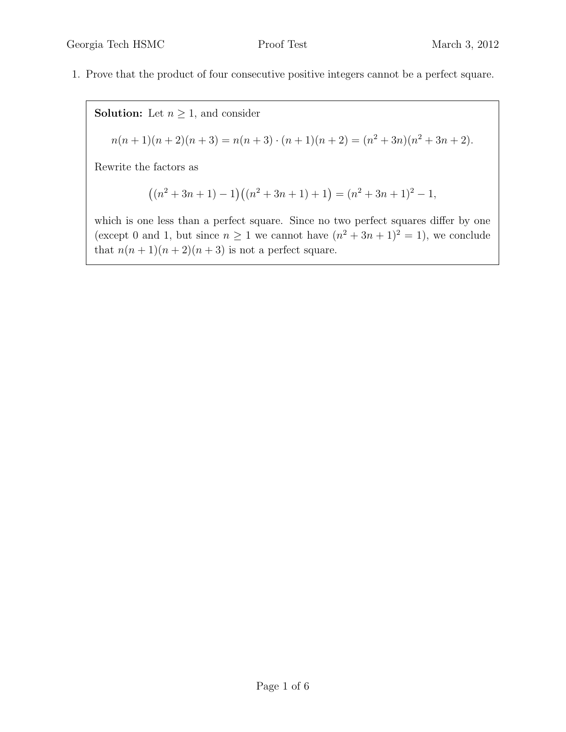1. Prove that the product of four consecutive positive integers cannot be a perfect square.

**Solution:** Let  $n \geq 1$ , and consider  $n(n+1)(n+2)(n+3) = n(n+3) \cdot (n+1)(n+2) = (n^2+3n)(n^2+3n+2).$ Rewrite the factors as

$$
((n2+3n+1)-1)((n2+3n+1)+1) = (n2+3n+1)2-1,
$$

which is one less than a perfect square. Since no two perfect squares differ by one (except 0 and 1, but since  $n \geq 1$  we cannot have  $(n^2 + 3n + 1)^2 = 1$ ), we conclude that  $n(n + 1)(n + 2)(n + 3)$  is not a perfect square.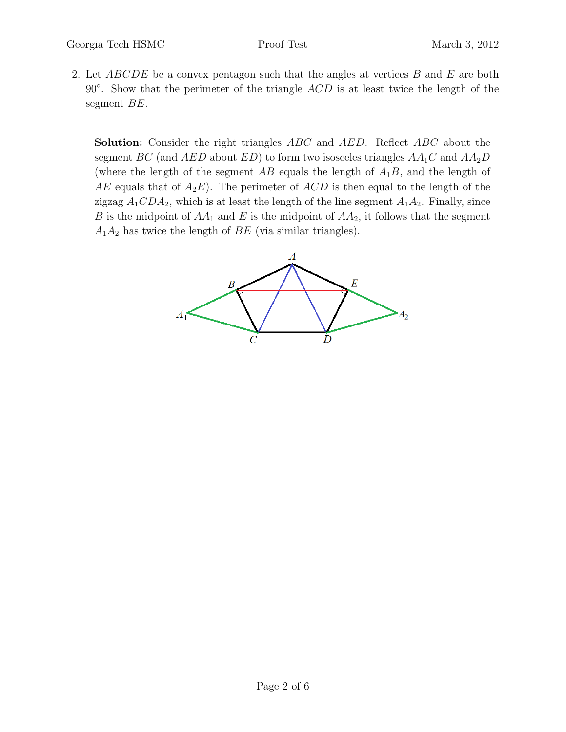2. Let  $ABCDE$  be a convex pentagon such that the angles at vertices  $B$  and  $E$  are both  $90°$ . Show that the perimeter of the triangle  $ACD$  is at least twice the length of the segment BE.

Solution: Consider the right triangles ABC and AED. Reflect ABC about the segment BC (and AED about ED) to form two isosceles triangles  $AA_1C$  and  $AA_2D$ (where the length of the segment  $AB$  equals the length of  $A_1B$ , and the length of AE equals that of  $A_2E$ ). The perimeter of ACD is then equal to the length of the zigzag  $A_1CDA_2$ , which is at least the length of the line segment  $A_1A_2$ . Finally, since B is the midpoint of  $AA_1$  and E is the midpoint of  $AA_2$ , it follows that the segment  $A_1A_2$  has twice the length of  $BE$  (via similar triangles).

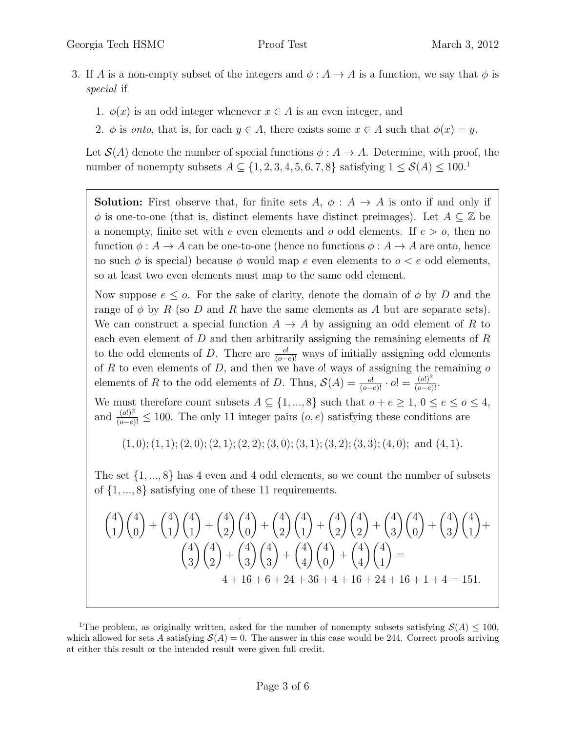- 3. If A is a non-empty subset of the integers and  $\phi: A \to A$  is a function, we say that  $\phi$  is special if
	- 1.  $\phi(x)$  is an odd integer whenever  $x \in A$  is an even integer, and
	- 2.  $\phi$  is onto, that is, for each  $y \in A$ , there exists some  $x \in A$  such that  $\phi(x) = y$ .

Let  $\mathcal{S}(A)$  denote the number of special functions  $\phi: A \to A$ . Determine, with proof, the number of nonempty subsets  $A \subseteq \{1, 2, 3, 4, 5, 6, 7, 8\}$  satisfying  $1 \leq \mathcal{S}(A) \leq 100$ .

**Solution:** First observe that, for finite sets  $A, \phi : A \rightarrow A$  is onto if and only if  $\phi$  is one-to-one (that is, distinct elements have distinct preimages). Let  $A \subseteq \mathbb{Z}$  be a nonempty, finite set with e even elements and o odd elements. If  $e > o$ , then no function  $\phi: A \to A$  can be one-to-one (hence no functions  $\phi: A \to A$  are onto, hence no such  $\phi$  is special) because  $\phi$  would map e even elements to  $o < e$  odd elements, so at least two even elements must map to the same odd element.

Now suppose  $e \leq o$ . For the sake of clarity, denote the domain of  $\phi$  by D and the range of  $\phi$  by R (so D and R have the same elements as A but are separate sets). We can construct a special function  $A \to A$  by assigning an odd element of R to each even element of D and then arbitrarily assigning the remaining elements of R to the odd elements of D. There are  $\frac{o!}{(o-e)!}$  ways of initially assigning odd elements of R to even elements of D, and then we have  $o!$  ways of assigning the remaining  $o$ elements of R to the odd elements of D. Thus,  $\mathcal{S}(A) = \frac{o!}{(o-e)!} \cdot o! = \frac{(o!)^2}{(o-e)!}$ .

We must therefore count subsets  $A \subseteq \{1, ..., 8\}$  such that  $o + e \ge 1$ ,  $0 \le e \le o \le 4$ , and  $\frac{(o!)^2}{(o-e)!} \leq 100$ . The only 11 integer pairs  $(o, e)$  satisfying these conditions are

 $(1, 0); (1, 1); (2, 0); (2, 1); (2, 2); (3, 0); (3, 1); (3, 2); (3, 3); (4, 0);$  and  $(4, 1).$ 

The set  $\{1, ..., 8\}$  has 4 even and 4 odd elements, so we count the number of subsets of  $\{1, ..., 8\}$  satisfying one of these 11 requirements.

$$
\binom{4}{1}\binom{4}{0} + \binom{4}{1}\binom{4}{1} + \binom{4}{2}\binom{4}{0} + \binom{4}{2}\binom{4}{1} + \binom{4}{2}\binom{4}{2} + \binom{4}{3}\binom{4}{0} + \binom{4}{3}\binom{4}{1} + \binom{4}{3}\binom{4}{2} + \binom{4}{3}\binom{4}{3} + \binom{4}{4}\binom{4}{0} + \binom{4}{4}\binom{4}{1} =
$$
\n
$$
4 + 16 + 6 + 24 + 36 + 4 + 16 + 24 + 16 + 1 + 4 = 151.
$$

<sup>&</sup>lt;sup>1</sup>The problem, as originally written, asked for the number of nonempty subsets satisfying  $\mathcal{S}(A) \leq 100$ , which allowed for sets A satisfying  $S(A) = 0$ . The answer in this case would be 244. Correct proofs arriving at either this result or the intended result were given full credit.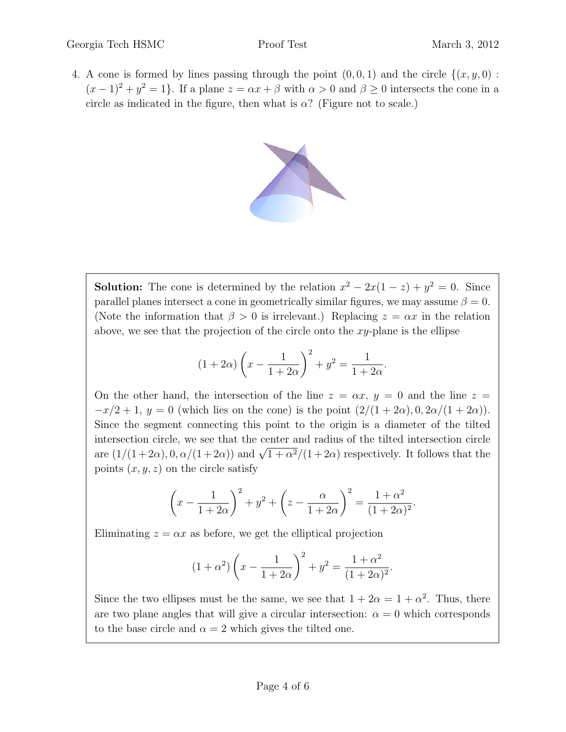4. A cone is formed by lines passing through the point  $(0, 0, 1)$  and the circle  $\{(x, y, 0)$ :  $(x-1)^2 + y^2 = 1$ . If a plane  $z = \alpha x + \beta$  with  $\alpha > 0$  and  $\beta \ge 0$  intersects the cone in a circle as indicated in the figure, then what is  $\alpha$ ? (Figure not to scale.)



**Solution:** The cone is determined by the relation  $x^2 - 2x(1 - z) + y^2 = 0$ . Since parallel planes intersect a cone in geometrically similar figures, we may assume  $\beta = 0$ . (Note the information that  $\beta > 0$  is irrelevant.) Replacing  $z = \alpha x$  in the relation above, we see that the projection of the circle onto the  $xy$ -plane is the ellipse

$$
(1+2\alpha)\left(x - \frac{1}{1+2\alpha}\right)^2 + y^2 = \frac{1}{1+2\alpha}.
$$

On the other hand, the intersection of the line  $z = \alpha x$ ,  $y = 0$  and the line  $z =$  $-x/2+1$ ,  $y=0$  (which lies on the cone) is the point  $\left(\frac{2}{1+2\alpha}\right), 0, \frac{2\alpha}{1+2\alpha}$ ). Since the segment connecting this point to the origin is a diameter of the tilted intersection circle, we see that the center and radius of the tilted intersection circle measection circle, we see that the center and radius of the three intersection circle<br>are  $(1/(1+2\alpha), 0, \alpha/(1+2\alpha))$  and  $\sqrt{1+\alpha^2}/(1+2\alpha)$  respectively. It follows that the points  $(x, y, z)$  on the circle satisfy

$$
\left(x - \frac{1}{1 + 2\alpha}\right)^2 + y^2 + \left(z - \frac{\alpha}{1 + 2\alpha}\right)^2 = \frac{1 + \alpha^2}{(1 + 2\alpha)^2}.
$$

Eliminating  $z = \alpha x$  as before, we get the elliptical projection

$$
(1 + \alpha^2) \left( x - \frac{1}{1 + 2\alpha} \right)^2 + y^2 = \frac{1 + \alpha^2}{(1 + 2\alpha)^2}.
$$

Since the two ellipses must be the same, we see that  $1 + 2\alpha = 1 + \alpha^2$ . Thus, there are two plane angles that will give a circular intersection:  $\alpha = 0$  which corresponds to the base circle and  $\alpha = 2$  which gives the tilted one.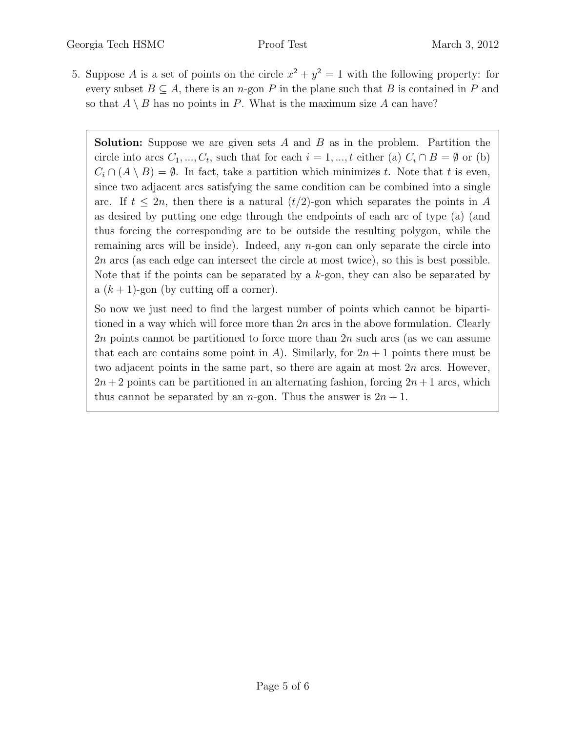5. Suppose A is a set of points on the circle  $x^2 + y^2 = 1$  with the following property: for every subset  $B \subseteq A$ , there is an n-gon P in the plane such that B is contained in P and so that  $A \setminus B$  has no points in P. What is the maximum size A can have?

**Solution:** Suppose we are given sets  $A$  and  $B$  as in the problem. Partition the circle into arcs  $C_1, ..., C_t$ , such that for each  $i = 1, ..., t$  either (a)  $C_i \cap B = \emptyset$  or (b)  $C_i \cap (A \setminus B) = \emptyset$ . In fact, take a partition which minimizes t. Note that t is even, since two adjacent arcs satisfying the same condition can be combined into a single arc. If  $t \leq 2n$ , then there is a natural  $(t/2)$ -gon which separates the points in A as desired by putting one edge through the endpoints of each arc of type (a) (and thus forcing the corresponding arc to be outside the resulting polygon, while the remaining arcs will be inside). Indeed, any  $n$ -gon can only separate the circle into 2n arcs (as each edge can intersect the circle at most twice), so this is best possible. Note that if the points can be separated by a  $k$ -gon, they can also be separated by a  $(k + 1)$ -gon (by cutting off a corner).

So now we just need to find the largest number of points which cannot be bipartitioned in a way which will force more than  $2n$  arcs in the above formulation. Clearly 2n points cannot be partitioned to force more than  $2n$  such arcs (as we can assume that each arc contains some point in A). Similarly, for  $2n + 1$  points there must be two adjacent points in the same part, so there are again at most  $2n$  arcs. However,  $2n+2$  points can be partitioned in an alternating fashion, forcing  $2n+1$  arcs, which thus cannot be separated by an *n*-gon. Thus the answer is  $2n + 1$ .